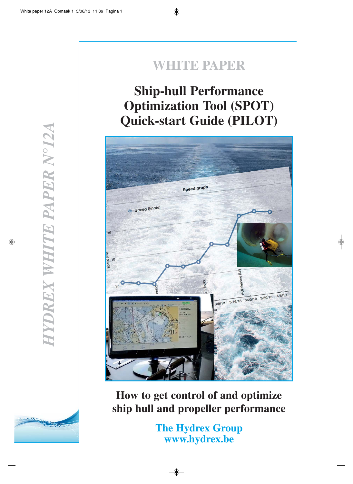### **WHITE PAPER**

### **Ship-hull Performance Optimization Tool (SPOT) Quick-start Guide (PILOT)**



**How to get control of and optimize ship hull and propeller performance**

> **The Hydrex Group www.hydrex.be**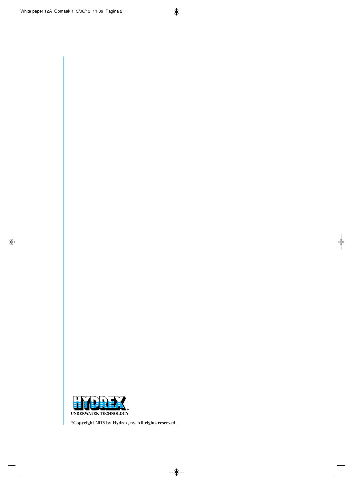

**©Copyright 2013 by Hydrex, nv. All rights reserved.**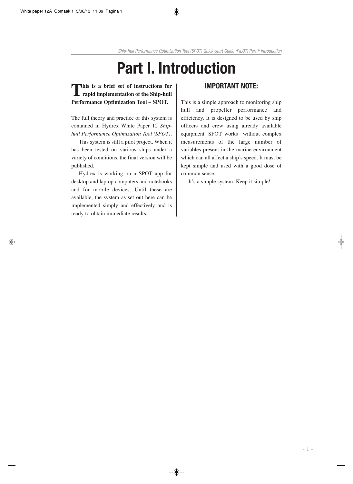# **Part I. Introduction**

### **This is a brief set of instructions for rapid implementation of the Ship-hull Performance Optimization Tool – SPOT.**

The full theory and practice of this system is contained in Hydrex White Paper 12 *Shiphull Performance Optimization Tool (SPOT)*.

This system is still a pilot project. When it has been tested on various ships under a variety of conditions, the final version will be published.

Hydrex is working on a SPOT app for desktop and laptop computers and notebooks and for mobile devices. Until these are available, the system as set out here can be implemented simply and effectively and is ready to obtain immediate results.

#### **IMPORTANT NOTE:**

This is a simple approach to monitoring ship hull and propeller performance and efficiency. It is designed to be used by ship officers and crew using already available equipment. SPOT works without complex measurements of the large number of variables present in the marine environment which can all affect a ship's speed. It must be kept simple and used with a good dose of common sense.

It's a simple system. Keep it simple!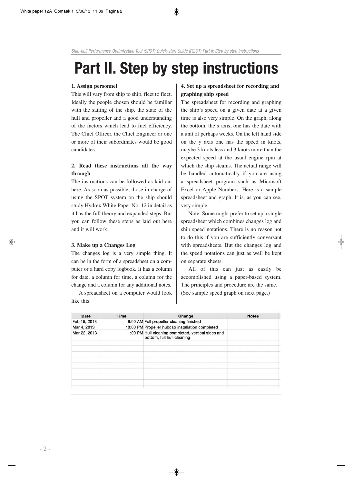## **Part II. Step by step instructions**

#### **1. Assign personnel**

This will vary from ship to ship, fleet to fleet. Ideally the people chosen should be familiar with the sailing of the ship, the state of the hull and propeller and a good understanding of the factors which lead to fuel efficiency. The Chief Officer, the Chief Engineer or one or more of their subordinates would be good candidates.

#### **2. Read these instructions all the way through**

The instructions can be followed as laid out here. As soon as possible, those in charge of using the SPOT system on the ship should study Hydrex White Paper No. 12 in detail as it has the full theory and expanded steps. But you can follow these steps as laid out here and it will work.

#### **3. Make up a Changes Log**

The changes log is a very simple thing. It can be in the form of a spreadsheet on a computer or a hard copy logbook. It has a column for date, a column for time, a column for the change and a column for any additional notes.

A spreadsheet on a computer would look like this:

#### **4. Set up a spreadsheet for recording and graphing ship speed**

The spreadsheet for recording and graphing the ship's speed on a given date at a given time is also very simple. On the graph, along the bottom, the x axis, one has the date with a unit of perhaps weeks. On the left hand side on the y axis one has the speed in knots, maybe 3 knots less and 3 knots more than the expected speed at the usual engine rpm at which the ship steams. The actual range will be handled automatically if you are using a spreadsheet program such as Microsoft Excel or Apple Numbers. Here is a sample spreadsheet and graph. It is, as you can see, very simple.

Note: Some might prefer to set up a single spreadsheet which combines changes log and ship speed notations. There is no reason not to do this if you are sufficiently conversant with spreadsheets. But the changes log and the speed notations can just as well be kept on separate sheets.

All of this can just as easily be accomplished using a paper-based system. The principles and procedure are the same. (See sample speed graph on next page.)

| Date         | <b>Time</b> | Change                                                                            | <b>Notes</b> |
|--------------|-------------|-----------------------------------------------------------------------------------|--------------|
| Feb 15, 2013 |             | 9:00 AM Full propeller cleaning finished                                          |              |
| Mar 4, 2013  |             | 10:00 PM Propeller hubcap installation completed                                  |              |
| Mar 22, 2013 |             | 1:00 PM Hull cleaning completed, vertical sides and<br>bottom, full hull cleaning |              |
|              |             |                                                                                   |              |
|              |             |                                                                                   |              |
|              |             |                                                                                   |              |
|              |             |                                                                                   |              |
|              |             |                                                                                   |              |
|              |             |                                                                                   |              |
|              |             |                                                                                   |              |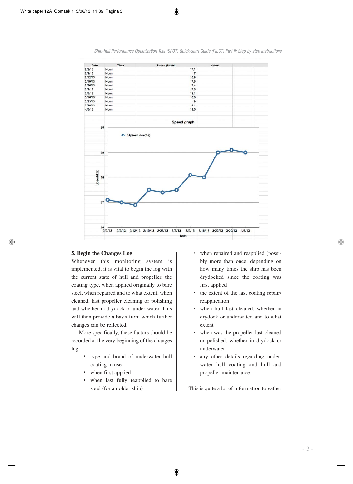

#### **5. Begin the Changes Log**

Whenever this monitoring system is implemented, it is vital to begin the log with the current state of hull and propeller, the coating type, when applied originally to bare steel, when repaired and to what extent, when cleaned, last propeller cleaning or polishing and whether in drydock or under water. This will then provide a basis from which further changes can be reflected.

More specifically, these factors should be recorded at the very beginning of the changes log:

- type and brand of underwater hull coating in use
- ‣ when first applied
- when last fully reapplied to bare steel (for an older ship)
- ‣ when repaired and reapplied (possibly more than once, depending on how many times the ship has been drydocked since the coating was first applied
- the extent of the last coating repair/ reapplication
- ‣ when hull last cleaned, whether in drydock or underwater, and to what extent
- when was the propeller last cleaned or polished, whether in drydock or underwater
- ‣ any other details regarding underwater hull coating and hull and propeller maintenance.

This is quite a lot of information to gather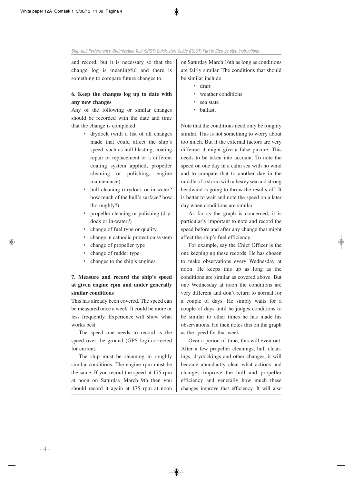and record, but it is necessary so that the change log is meaningful and there is something to compare future changes to.

#### **6. Keep the changes log up to date with any new changes**

Any of the following or similar changes should be recorded with the date and time that the change is completed:

- ‣ drydock (with a list of all changes made that could affect the ship's speed, such as hull blasting, coating repair or replacement or a different coating system applied, propeller cleaning or polishing, engine maintenance)
- ‣ hull cleaning (drydock or in-water? how much of the hull's surface? how thoroughly?)
- ‣ propeller cleaning or polishing (drydock or in-water?)
- $\rightarrow$  change of fuel type or quality
- ‣ change in cathodic protection system
- ‣ change of propeller type
- ‣ change of rudder type
- ‣ changes to the ship's engines.

#### **7. Measure and record the ship's speed at given engine rpm and under generally similar conditions**

This has already been covered. The speed can be measured once a week. It could be more or less frequently. Experience will show what works best.

The speed one needs to record is the speed over the ground (GPS log) corrected for current.

The ship must be steaming in roughly similar conditions. The engine rpm must be the same. If you record the speed at 175 rpm at noon on Saturday March 9th then you should record it again at 175 rpm at noon

on Saturday March 16th as long as conditions are fairly similar. The conditions that should be similar include

- ‣ draft
- $\rightarrow$  weather conditions
- ‣ sea state
- ‣ ballast.

Note that the conditions need only be roughly similar. This is not something to worry about too much. But if the external factors are very different it might give a false picture. This needs to be taken into account. To note the speed on one day in a calm sea with no wind and to compare that to another day in the middle of a storm with a heavy sea and strong headwind is going to throw the results off. It is better to wait and note the speed on a later day when conditions are similar.

As far as the graph is concerned, it is particularly important to note and record the speed before and after any change that might affect the ship's fuel efficiency.

For example, say the Chief Officer is the one keeping up these records. He has chosen to make observations every Wednesday at noon. He keeps this up as long as the conditions are similar as covered above. But one Wednesday at noon the conditions are very different and don't return to normal for a couple of days. He simply waits for a couple of days until he judges conditions to be similar to other times he has made his observations. He then notes this on the graph as the speed for that week.

Over a period of time, this will even out. After a few propeller cleanings, hull cleanings, drydockings and other changes, it will become abundantly clear what actions and changes improve the hull and propeller efficiency and generally how much these changes improve that efficiency. It will also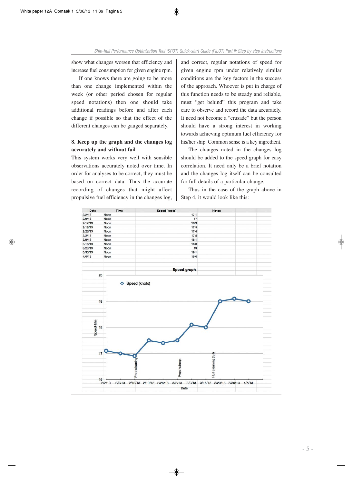show what changes worsen that efficiency and increase fuel consumption for given engine rpm.

If one knows there are going to be more than one change implemented within the week (or other period chosen for regular speed notations) then one should take additional readings before and after each change if possible so that the effect of the different changes can be gauged separately.

#### **8. Keep up the graph and the changes log accurately and without fail**

This system works very well with sensible observations accurately noted over time. In order for analyses to be correct, they must be based on correct data. Thus the accurate recording of changes that might affect propulsive fuel efficiency in the changes log,

and correct, regular notations of speed for given engine rpm under relatively similar conditions are the key factors in the success of the approach. Whoever is put in charge of this function needs to be steady and reliable, must "get behind" this program and take care to observe and record the data accurately. It need not become a "crusade" but the person should have a strong interest in working towards achieving optimum fuel efficiency for his/her ship. Common sense is a key ingredient.

The changes noted in the changes log should be added to the speed graph for easy correlation. It need only be a brief notation and the changes log itself can be consulted for full details of a particular change.

Thus in the case of the graph above in Step 4, it would look like this:

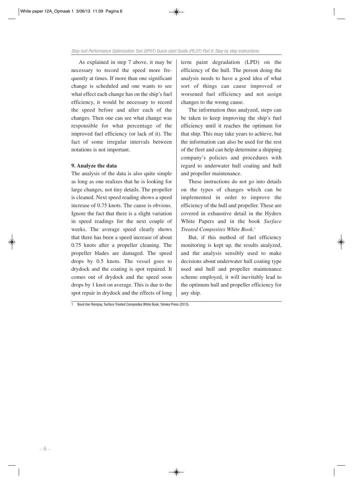As explained in step 7 above, it may be necessary to record the speed more frequently at times. If more than one significant change is scheduled and one wants to see what effect each change has on the ship's fuel efficiency, it would be necessary to record the speed before and after each of the changes. Then one can see what change was responsible for what percentage of the improved fuel efficiency (or lack of it). The fact of some irregular intervals between notations is not important.

#### **9. Analyze the data**

The analysis of the data is also quite simple as long as one realizes that he is looking for large changes, not tiny details. The propeller is cleaned. Next speed reading shows a speed increase of 0.75 knots. The cause is obvious. Ignore the fact that there is a slight variation in speed readings for the next couple of weeks. The average speed clearly shows that there has been a speed increase of about 0.75 knots after a propeller cleaning. The propeller blades are damaged. The speed drops by 0.5 knots. The vessel goes to drydock and the coating is spot repaired. It comes out of drydock and the speed soon drops by 1 knot on average. This is due to the spot repair in drydock and the effects of long term paint degradation (LPD) on the efficiency of the hull. The person doing the analysis needs to have a good idea of what sort of things can cause improved or worsened fuel efficiency and not assign changes to the wrong cause.

The information thus analyzed, steps can be taken to keep improving the ship's fuel efficiency until it reaches the optimum for that ship. This may take years to achieve, but the information can also be used for the rest of the fleet and can help determine a shipping company's policies and procedures with regard to underwater hull coating and hull and propeller maintenance.

These instructions do not go into details on the types of changes which can be implemented in order to improve the efficiency of the hull and propeller. These are covered in exhaustive detail in the Hydrex White Papers and in the book *Surface Treated Composites White Book*. 1

But, if this method of fuel efficiency monitoring is kept up, the results analyzed, and the analysis sensibly used to make decisions about underwater hull coating type used and hull and propeller maintenance scheme employed, it will inevitably lead to the optimum hull and propeller efficiency for any ship.

1 Boud Van Rompay, Surface Treated Composites White Book, Tahoka Press (2013).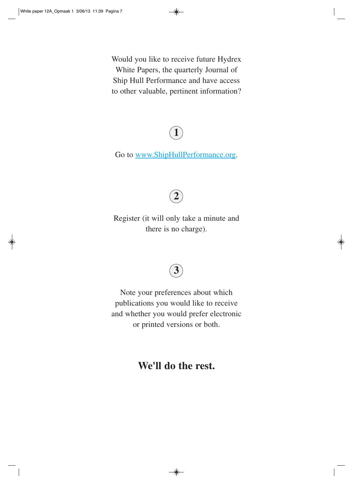Would you like to receive future Hydrex White Papers, the quarterly Journal of Ship Hull Performance and have access to other valuable, pertinent information?

### **1**

Go to www.ShipHullPerformance.org.



Register (it will only take a minute and there is no charge).

### **3**

Note your preferences about which publications you would like to receive and whether you would prefer electronic or printed versions or both.

**We'll do the rest.**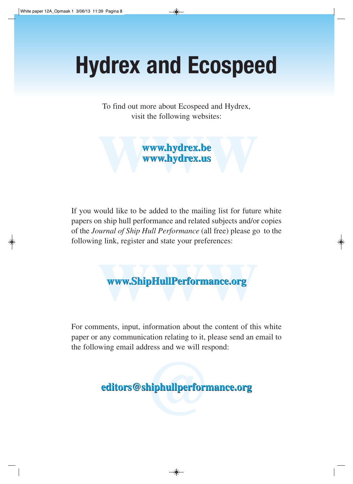# **Hydrex and Ecospeed**

To find out more about Ecospeed and Hydrex, To find out more about Ecospeed and Hydrex, visit the following websites: visit the following websites:

visit the following websites:<br> **www.hydrex.be**<br>
www.hydrex.us **www.hydrex.be www.hydrex.be www.hydrex.us www.hydrex.us**

If you would like to be added to the mailing list for future white If you would like to be added to the mailing list for future white papers on ship hull performance and related subjects and/or copies papers on ship hull performance and related subjects and/or copies of the *Journal of Ship Hull Performance* (all free) please go to the following link, register and state your preferences:

**www.ShipHullPerformance.org www.ShipHullPerformance.org www.ShipHullPerformance.org**

For comments, input, information about the content of this white For comments, input, information about the content of this white paper or any communication relating to it, please send an email to paper or any communication relating to it, please send an email to the following email address and we will respond: the following email address and we will respond:

> **shiphullperform editors@shiphullperformance.org editors@shiphullperformance.org**